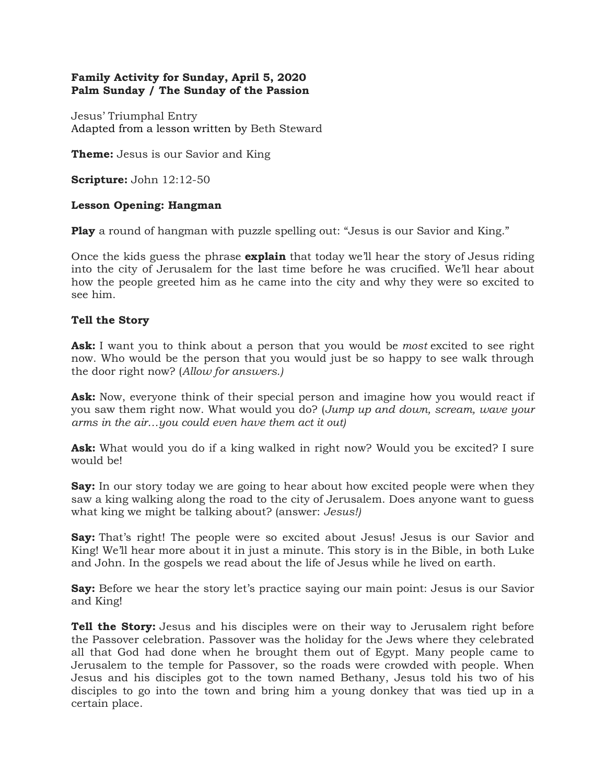## **Family Activity for Sunday, April 5, 2020 Palm Sunday / The Sunday of the Passion**

Jesus' Triumphal Entry Adapted from a lesson written by [Beth Steward](https://ministry-to-children.com/author/beth/)

**Theme:** Jesus is our Savior and King

**Scripture:** John 12:12-50

## **Lesson Opening: Hangman**

**Play** a round of hangman with puzzle spelling out: "Jesus is our Savior and King."

Once the kids guess the phrase **explain** that today we'll hear the story of Jesus riding into the city of Jerusalem for the last time before he was crucified. We'll hear about how the people greeted him as he came into the city and why they were so excited to see him.

## **Tell the Story**

**Ask:** I want you to think about a person that you would be *most* excited to see right now. Who would be the person that you would just be so happy to see walk through the door right now? (*Allow for answers.)*

**Ask:** Now, everyone think of their special person and imagine how you would react if you saw them right now. What would you do? (*Jump up and down, scream, wave your arms in the air…you could even have them act it out)*

**Ask:** What would you do if a king walked in right now? Would you be excited? I sure would be!

**Say:** In our story today we are going to hear about how excited people were when they saw a king walking along the road to the city of Jerusalem. Does anyone want to guess what king we might be talking about? (answer: *Jesus!)*

**Say:** That's right! The people were so excited about Jesus! Jesus is our Savior and King! We'll hear more about it in just a minute. This story is in the Bible, in both Luke and John. In the gospels we read about the life of Jesus while he lived on earth.

**Say:** Before we hear the story let's practice saying our main point: Jesus is our Savior and King!

**Tell the Story:** Jesus and his disciples were on their way to Jerusalem right before the Passover celebration. Passover was the holiday for the Jews where they celebrated all that God had done when he brought them out of Egypt. Many people came to Jerusalem to the temple for Passover, so the roads were crowded with people. When Jesus and his disciples got to the town named Bethany, Jesus told his two of his disciples to go into the town and bring him a young donkey that was tied up in a certain place.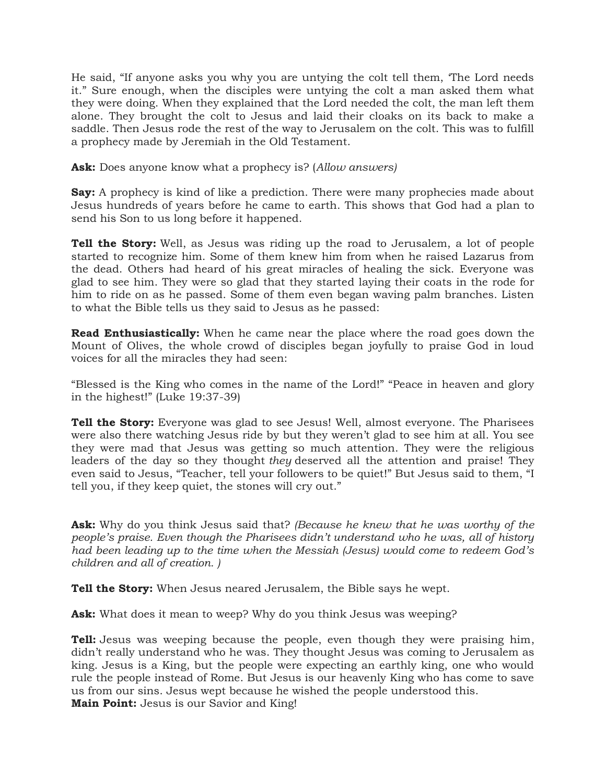He said, "If anyone asks you why you are untying the colt tell them, 'The Lord needs it." Sure enough, when the disciples were untying the colt a man asked them what they were doing. When they explained that the Lord needed the colt, the man left them alone. They brought the colt to Jesus and laid their cloaks on its back to make a saddle. Then Jesus rode the rest of the way to Jerusalem on the colt. This was to fulfill a prophecy made by Jeremiah in the Old Testament.

**Ask:** Does anyone know what a prophecy is? (*Allow answers)*

**Say:** A prophecy is kind of like a prediction. There were many prophecies made about Jesus hundreds of years before he came to earth. This shows that God had a plan to send his Son to us long before it happened.

**Tell the Story:** Well, as Jesus was riding up the road to Jerusalem, a lot of people started to recognize him. Some of them knew him from when he raised Lazarus from the dead. Others had heard of his great miracles of healing the sick. Everyone was glad to see him. They were so glad that they started laying their coats in the rode for him to ride on as he passed. Some of them even began waving palm branches. Listen to what the Bible tells us they said to Jesus as he passed:

**Read Enthusiastically:** When he came near the place where the road goes down the Mount of Olives, the whole crowd of disciples began joyfully to praise God in loud voices for all the miracles they had seen:

"Blessed is the King who comes in the name of the Lord!" "Peace in heaven and glory in the highest!" (Luke 19:37-39)

**Tell the Story:** Everyone was glad to see Jesus! Well, almost everyone. The Pharisees were also there watching Jesus ride by but they weren't glad to see him at all. You see they were mad that Jesus was getting so much attention. They were the religious leaders of the day so they thought *they* deserved all the attention and praise! They even said to Jesus, "Teacher, tell your followers to be quiet!" But Jesus said to them, "I tell you, if they keep quiet, the stones will cry out."

**Ask:** Why do you think Jesus said that? *(Because he knew that he was worthy of the people's praise. Even though the Pharisees didn't understand who he was, all of history had been leading up to the time when the Messiah (Jesus) would come to redeem God's children and all of creation. )*

**Tell the Story:** When Jesus neared Jerusalem, the Bible says he wept.

Ask: What does it mean to weep? Why do you think Jesus was weeping?

**Tell:** Jesus was weeping because the people, even though they were praising him, didn't really understand who he was. They thought Jesus was coming to Jerusalem as king. Jesus is a King, but the people were expecting an earthly king, one who would rule the people instead of Rome. But Jesus is our heavenly King who has come to save us from our sins. Jesus wept because he wished the people understood this. **Main Point:** Jesus is our Savior and King!